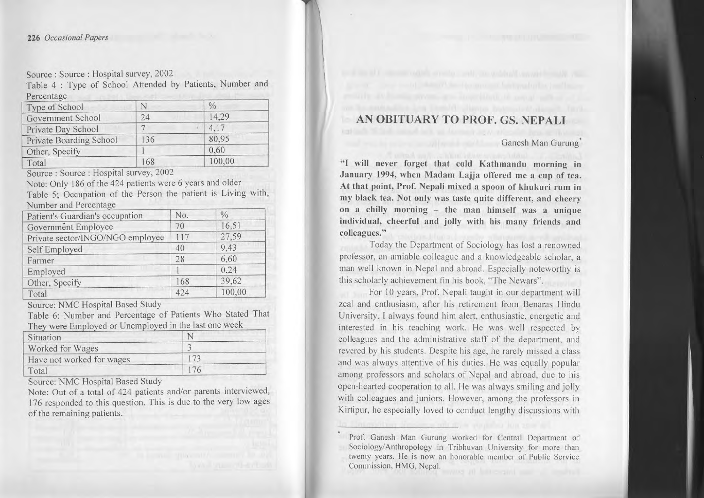## *226 Occasianal Papers*

Source: Source: Hospital survey, 2002

Table 4 : Type of School Attended by Patients, Number and Percentage

| Type of School          |     | $\frac{0}{0}$ |
|-------------------------|-----|---------------|
| Government School       | 24  | 14,29         |
| Private Day School      |     | 4,17          |
| Private Boarding School | 136 | 80,95         |
| Other, Specify          |     | 0,60          |
| Total                   | 168 | 100,00        |

Source: Source: Hospital survey, 2002

Note: Only 186 of the 424 patients were 6 years and older Table 5; Occupation of the Person the patient is Living with, Number and Percentage

| Patient's Guardian's occupation  | No. | $\frac{0}{0}$ |
|----------------------------------|-----|---------------|
| Government Employee              | 70  | 16,51         |
| Private sector/INGO/NGO employee | 117 | 27,59         |
| Self Employed                    | 40  | 9.43          |
| Farmer                           | 28  | 6,60          |
| Employed                         |     | 0,24          |
| Other, Specify                   | 168 | 39,62         |
| Total                            | 424 | 100,00        |

Source: NMC Hospital Based Study

Table 6: Number and Percentage of Patients Who Stated That They were Employed or Unemployed in the last one week

| Situation                 |  |
|---------------------------|--|
| Worked for Wages          |  |
| Have not worked for wages |  |
| Total                     |  |

Source: NMC Hospital Based Study

Note: Out of <sup>a</sup> total of 424 patients and/or parents interviewed, 176 responded to this question. This is due to the very low ages of the remaining patients.

AN OBITUARY TO PROF. GS. NEPALI

**Ganesh Man Gurung**<sup>\*</sup>

"I will never forget that cold Kathmandu morning in January 1994, when Madam Lajja offered me a cup of tea. At that point, Prof. Nepali mixcd <sup>a</sup> spoon of khukuri rum in my black tea. Not only was taste quite different, and cheery on <sup>a</sup> chilly morning - the man himself was <sup>a</sup> unique individual, cheerful and jolly with his many friends and colleagues."

Today the Department of Sociology has lost a renowned professor, an amiable colleague and <sup>a</sup> knowledgeable scholar, <sup>a</sup> man well known in Nepal and abroad. Especially noteworthy is this scholarly achievement fin his book. "The Newars".

For I0 years, Prof. Nepali taught in our department will zeal and enthusiasm, after his retirement from Benaras Hindu University. I always found him alert, enthusiastic, energetic and interested in his teaching work. He was well respected by colleagues and the administrative staff of the department, and revered by his students. Despite his age, he rarely missed <sup>a</sup> class and was always attentive of his duties. He was equally popular among professors and scholars of Nepal and abroad, due to his open-hearted cooperation to all. He was always smiling and jolly with colleagues and juniors. However, among the professors in Kirtipur, he especially loved to conduct lengthy discussions with

species which ally a students of fun zone of

Prof. Ganesh Man Gurung worked for Central Department of Sociology/Anthropology in Tribhuvan University for more than twenty years. He is now an honorable member of Public Service Commission, HMG, Nepal.